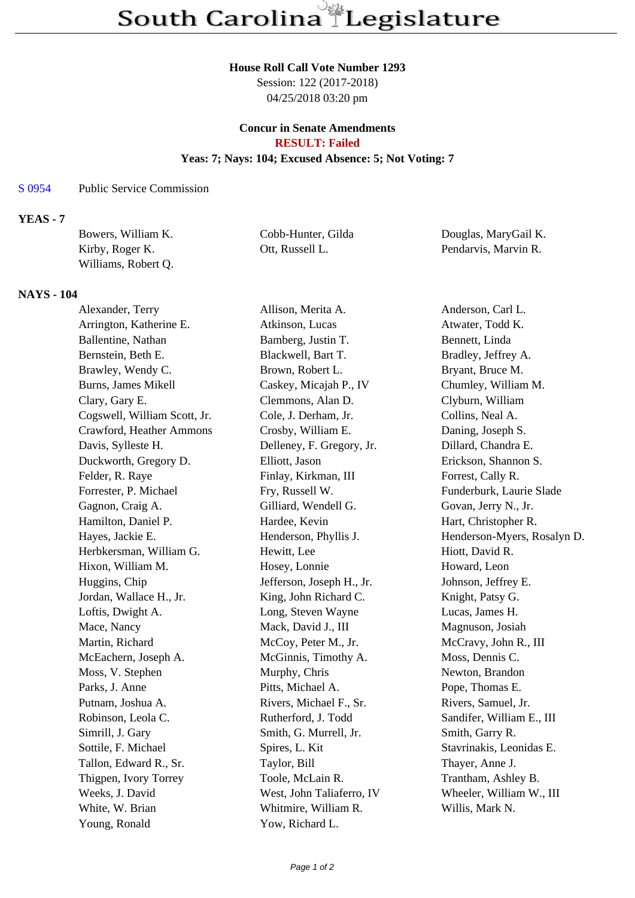## **House Roll Call Vote Number 1293**

Session: 122 (2017-2018) 04/25/2018 03:20 pm

# **Concur in Senate Amendments RESULT: Failed**

# **Yeas: 7; Nays: 104; Excused Absence: 5; Not Voting: 7**

#### S 0954 Public Service Commission

## **YEAS - 7**

| Bowers, William K.  | Cobb-Hunter, Gilda | Douglas, MaryGail K. |
|---------------------|--------------------|----------------------|
| Kirby, Roger K.     | Ott, Russell L.    | Pendarvis, Marvin R. |
| Williams, Robert Q. |                    |                      |

#### **NAYS - 104**

| Alexander, Terry             | Allison, Merita A.        | Anderson, Carl L.           |
|------------------------------|---------------------------|-----------------------------|
| Arrington, Katherine E.      | Atkinson, Lucas           | Atwater, Todd K.            |
| Ballentine, Nathan           | Bamberg, Justin T.        | Bennett, Linda              |
| Bernstein, Beth E.           | Blackwell, Bart T.        | Bradley, Jeffrey A.         |
| Brawley, Wendy C.            | Brown, Robert L.          | Bryant, Bruce M.            |
| <b>Burns, James Mikell</b>   | Caskey, Micajah P., IV    | Chumley, William M.         |
| Clary, Gary E.               | Clemmons, Alan D.         | Clyburn, William            |
| Cogswell, William Scott, Jr. | Cole, J. Derham, Jr.      | Collins, Neal A.            |
| Crawford, Heather Ammons     | Crosby, William E.        | Daning, Joseph S.           |
| Davis, Sylleste H.           | Delleney, F. Gregory, Jr. | Dillard, Chandra E.         |
| Duckworth, Gregory D.        | Elliott, Jason            | Erickson, Shannon S.        |
| Felder, R. Raye              | Finlay, Kirkman, III      | Forrest, Cally R.           |
| Forrester, P. Michael        | Fry, Russell W.           | Funderburk, Laurie Slade    |
| Gagnon, Craig A.             | Gilliard, Wendell G.      | Govan, Jerry N., Jr.        |
| Hamilton, Daniel P.          | Hardee, Kevin             | Hart, Christopher R.        |
| Hayes, Jackie E.             | Henderson, Phyllis J.     | Henderson-Myers, Rosalyn D. |
| Herbkersman, William G.      | Hewitt, Lee               | Hiott, David R.             |
| Hixon, William M.            | Hosey, Lonnie             | Howard, Leon                |
| Huggins, Chip                | Jefferson, Joseph H., Jr. | Johnson, Jeffrey E.         |
| Jordan, Wallace H., Jr.      | King, John Richard C.     | Knight, Patsy G.            |
| Loftis, Dwight A.            | Long, Steven Wayne        | Lucas, James H.             |
| Mace, Nancy                  | Mack, David J., III       | Magnuson, Josiah            |
| Martin, Richard              | McCoy, Peter M., Jr.      | McCravy, John R., III       |
| McEachern, Joseph A.         | McGinnis, Timothy A.      | Moss, Dennis C.             |
| Moss, V. Stephen             | Murphy, Chris             | Newton, Brandon             |
| Parks, J. Anne               | Pitts, Michael A.         | Pope, Thomas E.             |
| Putnam, Joshua A.            | Rivers, Michael F., Sr.   | Rivers, Samuel, Jr.         |
| Robinson, Leola C.           | Rutherford, J. Todd       | Sandifer, William E., III   |
| Simrill, J. Gary             | Smith, G. Murrell, Jr.    | Smith, Garry R.             |
| Sottile, F. Michael          | Spires, L. Kit            | Stavrinakis, Leonidas E.    |
| Tallon, Edward R., Sr.       | Taylor, Bill              | Thayer, Anne J.             |
| Thigpen, Ivory Torrey        | Toole, McLain R.          | Trantham, Ashley B.         |
| Weeks, J. David              | West, John Taliaferro, IV | Wheeler, William W., III    |
| White, W. Brian              | Whitmire, William R.      | Willis, Mark N.             |
| Young, Ronald                | Yow, Richard L.           |                             |
|                              |                           |                             |